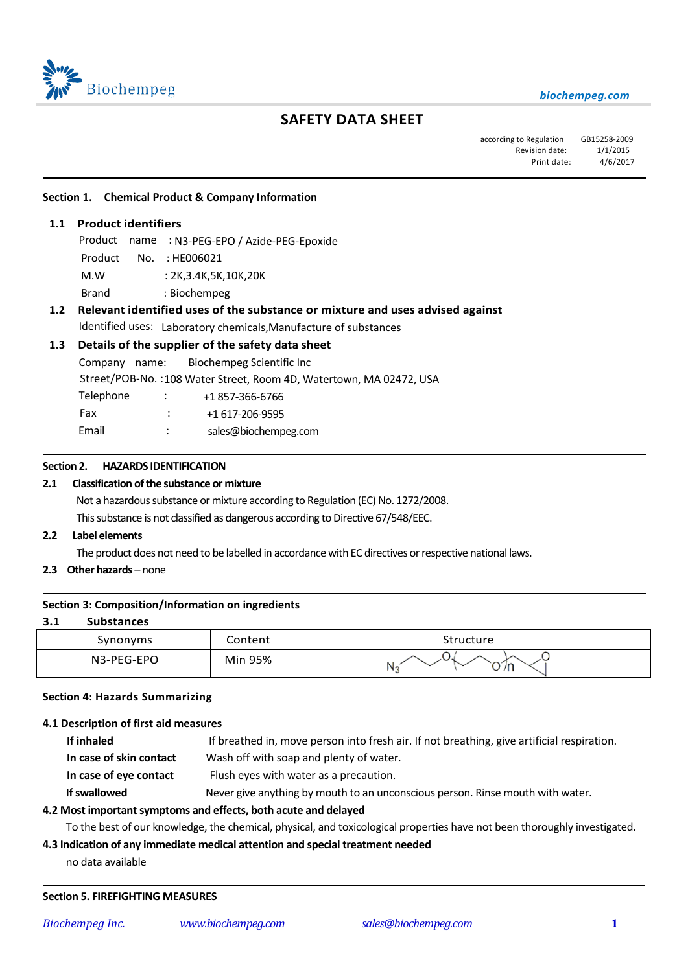

# **SAFETY DATA SHEET**

according to Regulation GB15258-2009 Revision date:  $1/1/2015$ Print date: 4/6/2017

#### **Section 1. Chemical Product & Company Information**

# **1.1 Product identifiers**

֦

 $\overline{\phantom{0}}$ 

 $\overline{a}$ 

Product name : N3-PEG-EPO / Azide-PEG-Epoxide

- Product No. : HE006021
- M.W : 2K,3.4K,5K,10K,20K
- Brand : Biochempeg

# **1.2 Relevant identified uses of the substance or mixture and uses advised against**

Identified uses: Laboratory chemicals,Manufacture of substances

# **1.3 Details of the supplier of the safety data sheet**

Company name: Biochempeg Scientific Inc Street/POB-No. :108 Water Street, Room 4D, Watertown, MA 02472, USA Telephone : +1857-366-6766 Fax : +1 617-206-9595 Email : [sales@biochempeg.com](mailto:sales@biochempeg.com)

#### **Section 2. HAZARDS IDENTIFICATION**

#### **2.1 Classification of the substance or mixture**

Not a hazardous substance or mixture according to Regulation (EC) No. 1272/2008.

This substance is not classified as dangerous according to Directive 67/548/EEC.

# **2.2 Label elements**

The product does not need to be labelled in accordance with EC directives or respective national laws.

**2.3 Other hazards** – none

#### **Section 3: Composition/Information on ingredients**

#### **3.1 Substances**

| Synonyms   | Content | Structure            |
|------------|---------|----------------------|
| N3-PEG-EPO | Min 95% | $\sim$<br>J /n<br>NL |

#### **Section 4: Hazards Summarizing**

#### **4.1 Description of first aid measures**

| If inhaled              | If breathed in, move person into fresh air. If not breathing, give artificial respiration. |
|-------------------------|--------------------------------------------------------------------------------------------|
| In case of skin contact | Wash off with soap and plenty of water.                                                    |
| In case of eye contact  | Flush eyes with water as a precaution.                                                     |
| If swallowed            | Never give anything by mouth to an unconscious person. Rinse mouth with water.             |
|                         |                                                                                            |

#### **4.2 Most important symptoms and effects, both acute and delayed**

To the best of our knowledge, the chemical, physical, and toxicological properties have not been thoroughly investigated.

# **4.3 Indication of any immediate medical attention and special treatment needed**

no data available

#### **Section 5. FIREFIGHTING MEASURES**

 $\overline{a}$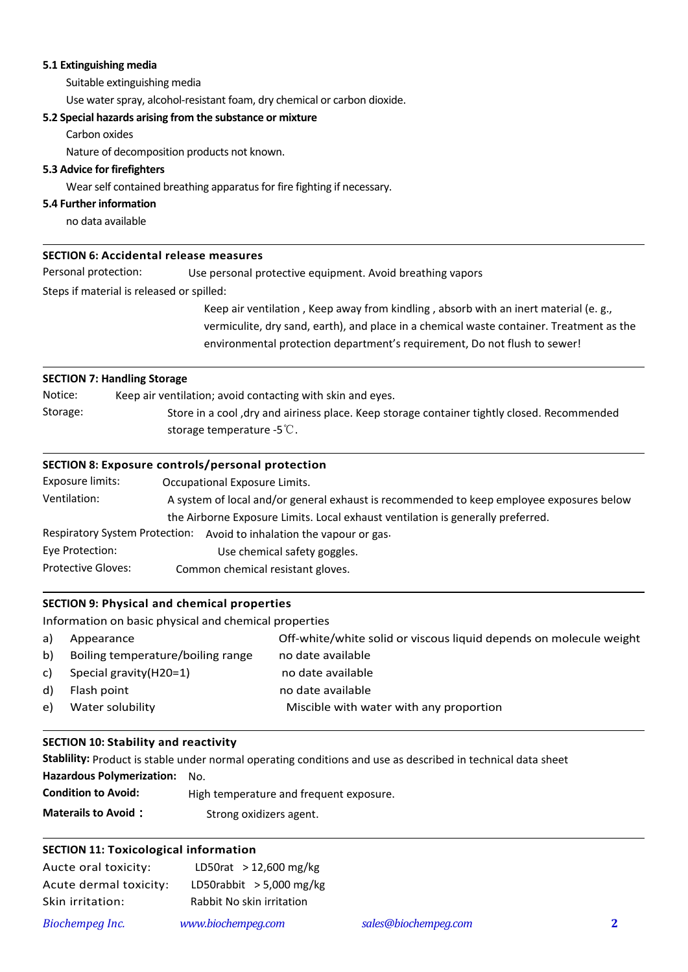# **5.1 Extinguishing media**

Suitable extinguishing media

Use water spray, alcohol-resistant foam, dry chemical or carbon dioxide.

#### **5.2 Special hazards arising from the substance or mixture**

Carbon oxides

Nature of decomposition products not known.

# **5.3 Advice for firefighters**

Wear self contained breathing apparatus for fire fighting if necessary.

#### **5.4 Further information**

 $\overline{a}$ 

 $\overline{a}$ 

 $\overline{a}$ 

 $\overline{a}$ 

 $\overline{a}$ 

no data available

#### **SECTION 6: Accidental release measures**

Personal protection: Use personal protective equipment. Avoid breathing vapors

Steps if material is released or spilled:

Keep air ventilation , Keep away from kindling , absorb with an inert material (e. g., vermiculite, dry sand, earth), and place in a chemical waste container. Treatment as the environmental protection department's requirement, Do not flush to sewer!

#### **SECTION 7: Handling Storage**

Notice: Keep air ventilation; avoid contacting with skin and eyes. Storage: Store in a cool ,dry and airiness place. Keep storage container tightly closed. Recommended storage temperature -5℃.

# **SECTION 8: Exposure controls/personal protection**

| Exposure limits:                                                                | Occupational Exposure Limits.                                                            |  |  |  |  |
|---------------------------------------------------------------------------------|------------------------------------------------------------------------------------------|--|--|--|--|
| Ventilation:                                                                    | A system of local and/or general exhaust is recommended to keep employee exposures below |  |  |  |  |
| the Airborne Exposure Limits. Local exhaust ventilation is generally preferred. |                                                                                          |  |  |  |  |
|                                                                                 | Respiratory System Protection: Avoid to inhalation the vapour or gas.                    |  |  |  |  |
| Eye Protection:                                                                 | Use chemical safety goggles.                                                             |  |  |  |  |
| <b>Protective Gloves:</b>                                                       | Common chemical resistant gloves.                                                        |  |  |  |  |

# **SECTION 9: Physical and chemical properties**

Information on basic physical and chemical properties

| a) | Appearance                        | Off-white/white solid or viscous liquid depends on molecule weight |
|----|-----------------------------------|--------------------------------------------------------------------|
| b) | Boiling temperature/boiling range | no date available                                                  |
| C) | Special gravity (H20=1)           | no date available                                                  |
| d) | Flash point                       | no date available                                                  |
| e) | Water solubility                  | Miscible with water with any proportion                            |
|    |                                   |                                                                    |

# **SECTION 10: Stability and reactivity**

**Stablility:** Product is stable under normal operating conditions and use as described in technical data sheet **Hazardous Polymerization:** No. **Condition to Avoid:** High temperature and frequent exposure. **Materails to Avoid:** Strong oxidizers agent.

# **SECTION 11: Toxicological information**

| Aucte oral toxicity:   | LD50rat > 12,600 mg/kg     |  |
|------------------------|----------------------------|--|
| Acute dermal toxicity: | LD50rabbit $>$ 5,000 mg/kg |  |
| Skin irritation:       | Rabbit No skin irritation  |  |